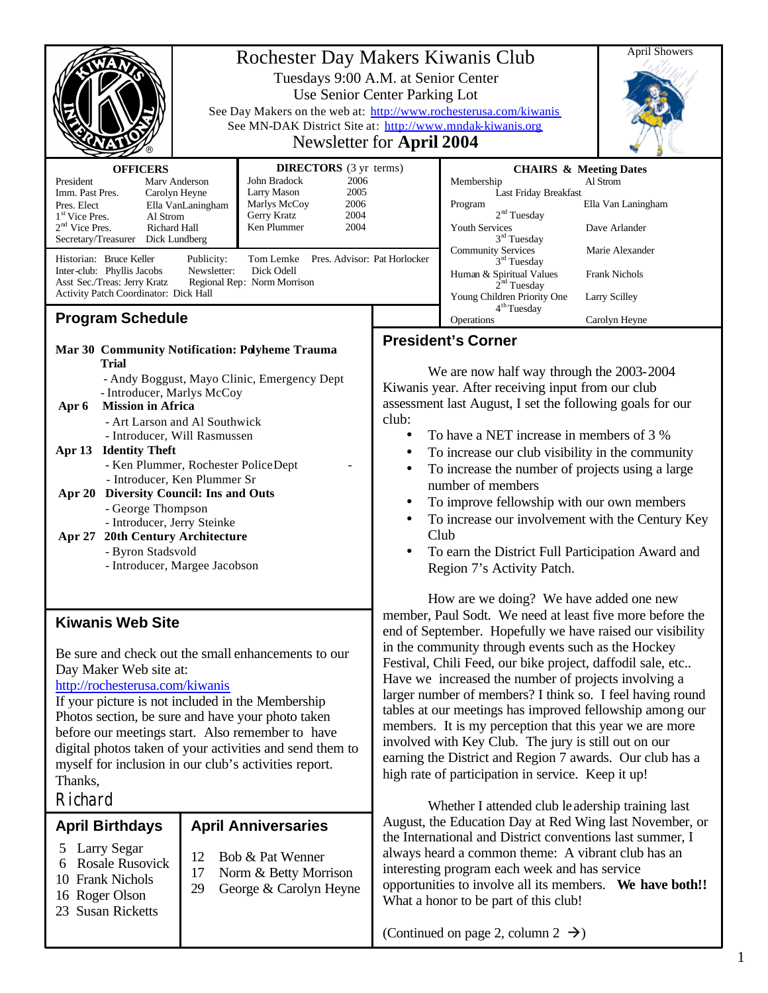|                                                                                                                                                                                                                                                                                                                                                                                                                                                                                                                                                 | Rochester Day Makers Kiwanis Club<br>See Day Makers on the web at: http://www.rochesterusa.com/kiwanis<br>See MN-DAK District Site at: http://www.mndak-kiwanis.org | <b>April Showers</b>                                                                              |                                                                                                                                                                                                                                                                                                                                                                                                                                                                                                                                                                                                                                                                                                                                                                                                                                                                                                                                                                                                                                                                                                                                                                                                                                                                                                                                                        |                                                                                                    |               |  |
|-------------------------------------------------------------------------------------------------------------------------------------------------------------------------------------------------------------------------------------------------------------------------------------------------------------------------------------------------------------------------------------------------------------------------------------------------------------------------------------------------------------------------------------------------|---------------------------------------------------------------------------------------------------------------------------------------------------------------------|---------------------------------------------------------------------------------------------------|--------------------------------------------------------------------------------------------------------------------------------------------------------------------------------------------------------------------------------------------------------------------------------------------------------------------------------------------------------------------------------------------------------------------------------------------------------------------------------------------------------------------------------------------------------------------------------------------------------------------------------------------------------------------------------------------------------------------------------------------------------------------------------------------------------------------------------------------------------------------------------------------------------------------------------------------------------------------------------------------------------------------------------------------------------------------------------------------------------------------------------------------------------------------------------------------------------------------------------------------------------------------------------------------------------------------------------------------------------|----------------------------------------------------------------------------------------------------|---------------|--|
| <b>DIRECTORS</b> (3 yr terms)<br><b>OFFICERS</b><br>John Bradock<br>2006<br>Marv Anderson<br>President<br>2005<br>Larry Mason<br>Imm. Past Pres.<br>Carolyn Heyne<br>Marlys McCoy<br>2006<br>Pres. Elect<br>Ella VanLaningham<br>Gerry Kratz<br>2004<br>1 <sup>st</sup> Vice Pres.<br>Al Strom<br>Ken Plummer<br>$2nd$ Vice Pres.<br>2004<br>Richard Hall<br>Secretary/Treasurer Dick Lundberg<br>Historian: Bruce Keller<br>Pres. Advisor: Pat Horlocker<br>Publicity:<br>Tom Lemke<br>Dick Odell<br>Inter-club: Phyllis Jacobs<br>Newsletter: |                                                                                                                                                                     |                                                                                                   | <b>CHAIRS &amp; Meeting Dates</b><br>Membership<br>Al Strom<br>Last Friday Breakfast<br>Ella Van Laningham<br>Program<br>2 <sup>nd</sup> Tuesday<br>Youth Services<br>Dave Arlander<br>$3rd$ Tuesday<br><b>Community Services</b><br>Marie Alexander<br>$3rd$ Tuesday<br>Human & Spiritual Values<br><b>Frank Nichols</b>                                                                                                                                                                                                                                                                                                                                                                                                                                                                                                                                                                                                                                                                                                                                                                                                                                                                                                                                                                                                                              |                                                                                                    |               |  |
| Asst Sec./Treas: Jerry Kratz<br>Regional Rep: Norm Morrison<br>Activity Patch Coordinator: Dick Hall                                                                                                                                                                                                                                                                                                                                                                                                                                            |                                                                                                                                                                     |                                                                                                   |                                                                                                                                                                                                                                                                                                                                                                                                                                                                                                                                                                                                                                                                                                                                                                                                                                                                                                                                                                                                                                                                                                                                                                                                                                                                                                                                                        | 2 <sup>nd</sup> Tuesday<br>Young Children Priority One<br>Larry Scilley<br>4 <sup>th</sup> Tuesday |               |  |
| <b>Program Schedule</b>                                                                                                                                                                                                                                                                                                                                                                                                                                                                                                                         |                                                                                                                                                                     |                                                                                                   |                                                                                                                                                                                                                                                                                                                                                                                                                                                                                                                                                                                                                                                                                                                                                                                                                                                                                                                                                                                                                                                                                                                                                                                                                                                                                                                                                        | Operations                                                                                         | Carolyn Heyne |  |
| Mar 30 Community Notification: Polyheme Trauma<br>Trial<br>- Andy Boggust, Mayo Clinic, Emergency Dept                                                                                                                                                                                                                                                                                                                                                                                                                                          |                                                                                                                                                                     |                                                                                                   | <b>President's Corner</b><br>We are now half way through the 2003-2004<br>Kiwanis year. After receiving input from our club<br>assessment last August, I set the following goals for our<br>club:<br>To have a NET increase in members of 3 %<br>$\bullet$<br>To increase our club visibility in the community<br>To increase the number of projects using a large<br>number of members<br>To improve fellowship with our own members<br>To increase our involvement with the Century Key<br>Club<br>To earn the District Full Participation Award and<br>Region 7's Activity Patch.<br>How are we doing? We have added one new<br>member, Paul Sodt. We need at least five more before the<br>end of September. Hopefully we have raised our visibility<br>in the community through events such as the Hockey<br>Festival, Chili Feed, our bike project, daffodil sale, etc<br>Have we increased the number of projects involving a<br>larger number of members? I think so. I feel having round<br>tables at our meetings has improved fellowship among our<br>members. It is my perception that this year we are more<br>involved with Key Club. The jury is still out on our<br>earning the District and Region 7 awards. Our club has a<br>high rate of participation in service. Keep it up!<br>Whether I attended club leadership training last |                                                                                                    |               |  |
| - Introducer, Marlys McCoy<br><b>Mission in Africa</b><br>Apr 6<br>- Art Larson and Al Southwick<br>- Introducer, Will Rasmussen<br>Apr 13 Identity Theft<br>- Ken Plummer, Rochester PoliceDept<br>- Introducer, Ken Plummer Sr<br><b>Diversity Council: Ins and Outs</b><br>Apr $20$<br>- George Thompson<br>- Introducer, Jerry Steinke<br>20th Century Architecture<br>Apr 27<br>- Byron Stadsvold<br>- Introducer, Margee Jacobson                                                                                                         |                                                                                                                                                                     |                                                                                                   |                                                                                                                                                                                                                                                                                                                                                                                                                                                                                                                                                                                                                                                                                                                                                                                                                                                                                                                                                                                                                                                                                                                                                                                                                                                                                                                                                        |                                                                                                    |               |  |
| <b>Kiwanis Web Site</b><br>Be sure and check out the small enhancements to our<br>Day Maker Web site at:<br>http://rochesterusa.com/kiwanis<br>If your picture is not included in the Membership<br>Photos section, be sure and have your photo taken<br>before our meetings start. Also remember to have<br>digital photos taken of your activities and send them to<br>myself for inclusion in our club's activities report.<br>Thanks,<br>Richard                                                                                            |                                                                                                                                                                     |                                                                                                   |                                                                                                                                                                                                                                                                                                                                                                                                                                                                                                                                                                                                                                                                                                                                                                                                                                                                                                                                                                                                                                                                                                                                                                                                                                                                                                                                                        |                                                                                                    |               |  |
| <b>April Birthdays</b><br>Larry Segar<br>5<br><b>Rosale Rusovick</b><br>6<br>10 Frank Nichols<br>16 Roger Olson<br>23 Susan Ricketts                                                                                                                                                                                                                                                                                                                                                                                                            | 12<br>17<br>29                                                                                                                                                      | <b>April Anniversaries</b><br>Bob & Pat Wenner<br>Norm & Betty Morrison<br>George & Carolyn Heyne | August, the Education Day at Red Wing last November, or<br>the International and District conventions last summer, I<br>always heard a common theme: A vibrant club has an<br>interesting program each week and has service<br>opportunities to involve all its members. We have both!!<br>What a honor to be part of this club!                                                                                                                                                                                                                                                                                                                                                                                                                                                                                                                                                                                                                                                                                                                                                                                                                                                                                                                                                                                                                       |                                                                                                    |               |  |

(Continued on page 2, column 2  $\rightarrow$ )

1